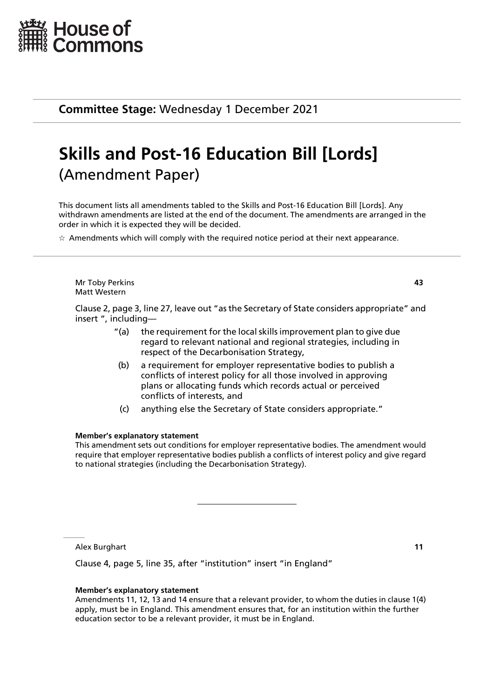

**Committee Stage:** Wednesday 1 December 2021

# **Skills and Post-16 Education Bill [Lords]** (Amendment Paper)

This document lists all amendments tabled to the Skills and Post-16 Education Bill [Lords]. Any withdrawn amendments are listed at the end of the document. The amendments are arranged in the order in which it is expected they will be decided.

 $\star$  Amendments which will comply with the required notice period at their next appearance.

Mr Toby Perkins **43** Matt Western

Clause 2, page 3, line 27, leave out "as the Secretary of State considers appropriate" and insert ", including—

- "(a) the requirement for the local skills improvement plan to give due regard to relevant national and regional strategies, including in respect of the Decarbonisation Strategy,
- (b) a requirement for employer representative bodies to publish a conflicts of interest policy for all those involved in approving plans or allocating funds which records actual or perceived conflicts of interests, and
- (c) anything else the Secretary of State considers appropriate."

# **Member's explanatory statement**

This amendment sets out conditions for employer representative bodies. The amendment would require that employer representative bodies publish a conflicts of interest policy and give regard to national strategies (including the Decarbonisation Strategy).

Alex Burghart **11**

Clause 4, page 5, line 35, after "institution" insert "in England"

# **Member's explanatory statement**

Amendments 11, 12, 13 and 14 ensure that a relevant provider, to whom the duties in clause 1(4) apply, must be in England. This amendment ensures that, for an institution within the further education sector to be a relevant provider, it must be in England.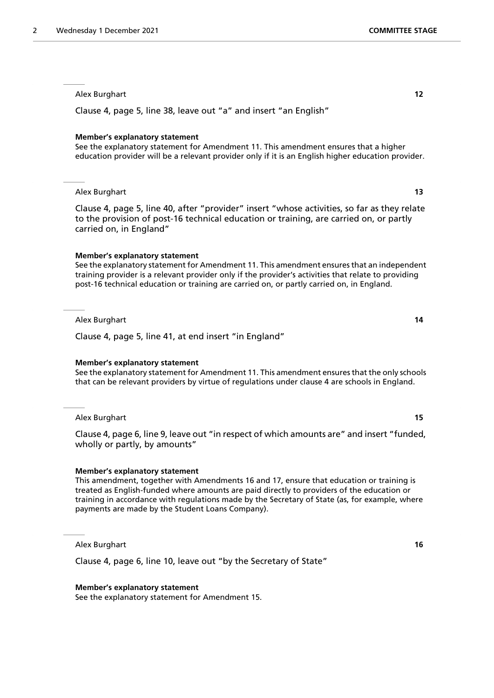Clause 4, page 5, line 38, leave out "a" and insert "an English"

#### **Member's explanatory statement**

See the explanatory statement for Amendment 11. This amendment ensures that a higher education provider will be a relevant provider only if it is an English higher education provider.

### Alex Burghart **13**

Clause 4, page 5, line 40, after "provider" insert "whose activities, so far as they relate to the provision of post-16 technical education or training, are carried on, or partly carried on, in England"

#### **Member's explanatory statement**

See the explanatory statement for Amendment 11. This amendment ensures that an independent training provider is a relevant provider only if the provider's activities that relate to providing post-16 technical education or training are carried on, or partly carried on, in England.

Alex Burghart **14**

Clause 4, page 5, line 41, at end insert "in England"

#### **Member's explanatory statement**

See the explanatory statement for Amendment 11. This amendment ensures that the only schools that can be relevant providers by virtue of regulations under clause 4 are schools in England.

Alex Burghart **15**

Clause 4, page 6, line 9, leave out "in respect of which amounts are" and insert "funded, wholly or partly, by amounts"

#### **Member's explanatory statement**

This amendment, together with Amendments 16 and 17, ensure that education or training is treated as English-funded where amounts are paid directly to providers of the education or training in accordance with regulations made by the Secretary of State (as, for example, where payments are made by the Student Loans Company).

Alex Burghart **16**

Clause 4, page 6, line 10, leave out "by the Secretary of State"

#### **Member's explanatory statement**

See the explanatory statement for Amendment 15.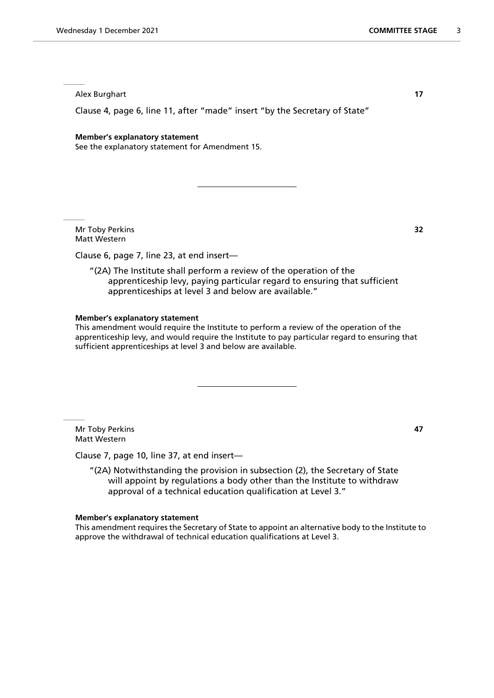Clause 4, page 6, line 11, after "made" insert "by the Secretary of State"

#### **Member's explanatory statement**

See the explanatory statement for Amendment 15.

Mr Toby Perkins **32** Matt Western

Clause 6, page 7, line 23, at end insert—

"(2A) The Institute shall perform a review of the operation of the apprenticeship levy, paying particular regard to ensuring that sufficient apprenticeships at level 3 and below are available."

#### **Member's explanatory statement**

This amendment would require the Institute to perform a review of the operation of the apprenticeship levy, and would require the Institute to pay particular regard to ensuring that sufficient apprenticeships at level 3 and below are available.

Mr Toby Perkins **47** Matt Western

Clause 7, page 10, line 37, at end insert—

"(2A) Notwithstanding the provision in subsection (2), the Secretary of State will appoint by regulations a body other than the Institute to withdraw approval of a technical education qualification at Level 3."

#### **Member's explanatory statement**

This amendment requires the Secretary of State to appoint an alternative body to the Institute to approve the withdrawal of technical education qualifications at Level 3.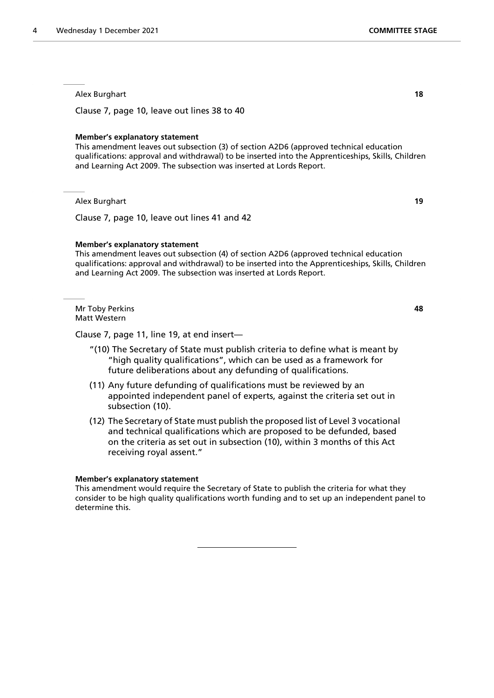Clause 7, page 10, leave out lines 38 to 40

#### **Member's explanatory statement**

This amendment leaves out subsection (3) of section A2D6 (approved technical education qualifications: approval and withdrawal) to be inserted into the Apprenticeships, Skills, Children and Learning Act 2009. The subsection was inserted at Lords Report.

Alex Burghart **19**

Clause 7, page 10, leave out lines 41 and 42

#### **Member's explanatory statement**

This amendment leaves out subsection (4) of section A2D6 (approved technical education qualifications: approval and withdrawal) to be inserted into the Apprenticeships, Skills, Children and Learning Act 2009. The subsection was inserted at Lords Report.

Mr Toby Perkins **48** Matt Western

Clause 7, page 11, line 19, at end insert—

- "(10) The Secretary of State must publish criteria to define what is meant by "high quality qualifications", which can be used as a framework for future deliberations about any defunding of qualifications.
- (11) Any future defunding of qualifications must be reviewed by an appointed independent panel of experts, against the criteria set out in subsection (10).
- (12) The Secretary of State must publish the proposed list of Level 3 vocational and technical qualifications which are proposed to be defunded, based on the criteria as set out in subsection (10), within 3 months of this Act receiving royal assent."

#### **Member's explanatory statement**

This amendment would require the Secretary of State to publish the criteria for what they consider to be high quality qualifications worth funding and to set up an independent panel to determine this.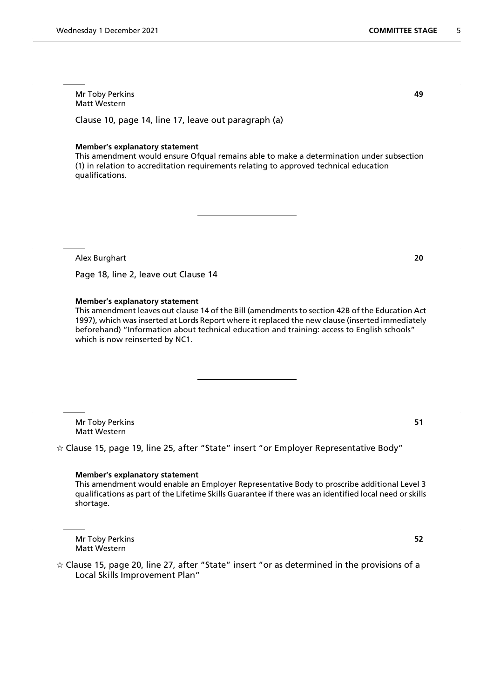# Mr Toby Perkins **49** Matt Western

Clause 10, page 14, line 17, leave out paragraph (a)

# **Member's explanatory statement**

This amendment would ensure Ofqual remains able to make a determination under subsection (1) in relation to accreditation requirements relating to approved technical education qualifications.

Alex Burghart **20**

Page 18, line 2, leave out Clause 14

# **Member's explanatory statement**

This amendment leaves out clause 14 of the Bill (amendments to section 42B of the Education Act 1997), which was inserted at Lords Report where it replaced the new clause (inserted immediately beforehand) "Information about technical education and training: access to English schools" which is now reinserted by NC1.

Mr Toby Perkins **51** Matt Western

 $\dot{\varphi}$  Clause 15, page 19, line 25, after "State" insert "or Employer Representative Body"

#### **Member's explanatory statement**

This amendment would enable an Employer Representative Body to proscribe additional Level 3 qualifications as part of the Lifetime Skills Guarantee if there was an identified local need or skills shortage.

Mr Toby Perkins **52** Matt Western

 $\dot{\varphi}$  Clause 15, page 20, line 27, after "State" insert "or as determined in the provisions of a Local Skills Improvement Plan"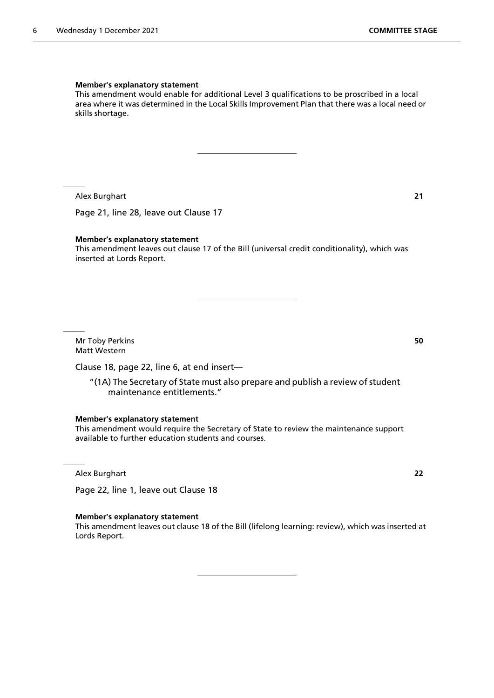#### **Member's explanatory statement**

This amendment would enable for additional Level 3 qualifications to be proscribed in a local area where it was determined in the Local Skills Improvement Plan that there was a local need or skills shortage.

Alex Burghart **21**

Page 21, line 28, leave out Clause 17

#### **Member's explanatory statement**

This amendment leaves out clause 17 of the Bill (universal credit conditionality), which was inserted at Lords Report.

Mr Toby Perkins **50** Matt Western

Clause 18, page 22, line 6, at end insert—

"(1A) The Secretary of State must also prepare and publish a review of student maintenance entitlements."

**Member's explanatory statement**

This amendment would require the Secretary of State to review the maintenance support available to further education students and courses.

Alex Burghart **22**

Page 22, line 1, leave out Clause 18

#### **Member's explanatory statement**

This amendment leaves out clause 18 of the Bill (lifelong learning: review), which was inserted at Lords Report.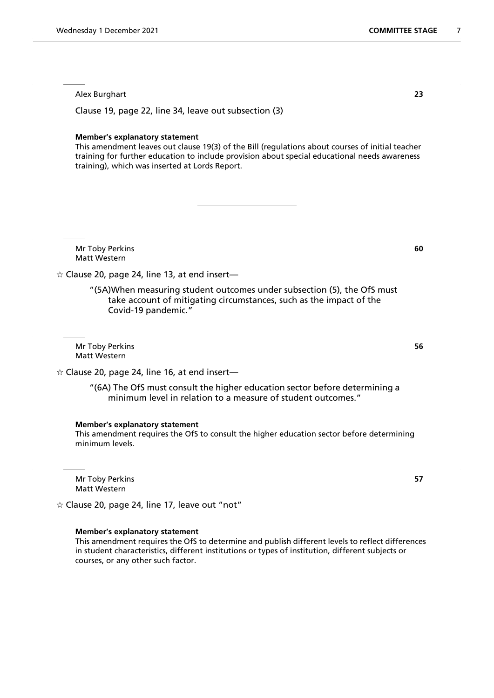Clause 19, page 22, line 34, leave out subsection (3)

#### **Member's explanatory statement**

This amendment leaves out clause 19(3) of the Bill (regulations about courses of initial teacher training for further education to include provision about special educational needs awareness training), which was inserted at Lords Report.

Mr Toby Perkins **60** Matt Western

 $\dot{\varphi}$  Clause 20, page 24, line 13, at end insert—

"(5A)When measuring student outcomes under subsection (5), the OfS must take account of mitigating circumstances, such as the impact of the Covid-19 pandemic."

Mr Toby Perkins **56** Matt Western

 $\dot{\varphi}$  Clause 20, page 24, line 16, at end insert—

"(6A) The OfS must consult the higher education sector before determining a minimum level in relation to a measure of student outcomes."

# **Member's explanatory statement**

This amendment requires the OfS to consult the higher education sector before determining minimum levels.

Mr Toby Perkins **57** Matt Western

 $\dot{\varphi}$  Clause 20, page 24, line 17, leave out "not"

#### **Member's explanatory statement**

This amendment requires the OfS to determine and publish different levels to reflect differences in student characteristics, different institutions or types of institution, different subjects or courses, or any other such factor.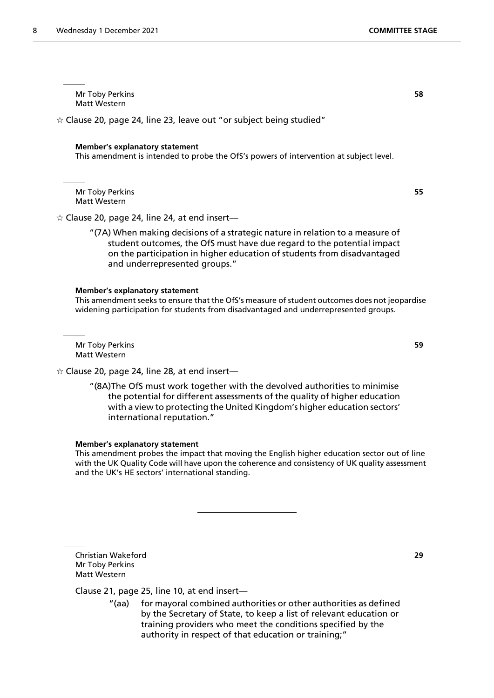Mr Toby Perkins **58** Matt Western

 $\dot{\varphi}$  Clause 20, page 24, line 23, leave out "or subject being studied"

#### **Member's explanatory statement**

This amendment is intended to probe the OfS's powers of intervention at subject level.

Mr Toby Perkins **55** Matt Western

 $\dot{\varphi}$  Clause 20, page 24, line 24, at end insert—

"(7A) When making decisions of a strategic nature in relation to a measure of student outcomes, the OfS must have due regard to the potential impact on the participation in higher education of students from disadvantaged and underrepresented groups."

#### **Member's explanatory statement**

This amendment seeks to ensure that the OfS's measure of student outcomes does not jeopardise widening participation for students from disadvantaged and underrepresented groups.

Mr Toby Perkins **59** Matt Western

 $\dot{\varphi}$  Clause 20, page 24, line 28, at end insert—

"(8A)The OfS must work together with the devolved authorities to minimise the potential for different assessments of the quality of higher education with a view to protecting the United Kingdom's higher education sectors' international reputation."

#### **Member's explanatory statement**

This amendment probes the impact that moving the English higher education sector out of line with the UK Quality Code will have upon the coherence and consistency of UK quality assessment and the UK's HE sectors' international standing.

Christian Wakeford **29** Mr Toby Perkins Matt Western

# Clause 21, page 25, line 10, at end insert—

"(aa) for mayoral combined authorities or other authorities as defined by the Secretary of State, to keep a list of relevant education or training providers who meet the conditions specified by the authority in respect of that education or training;"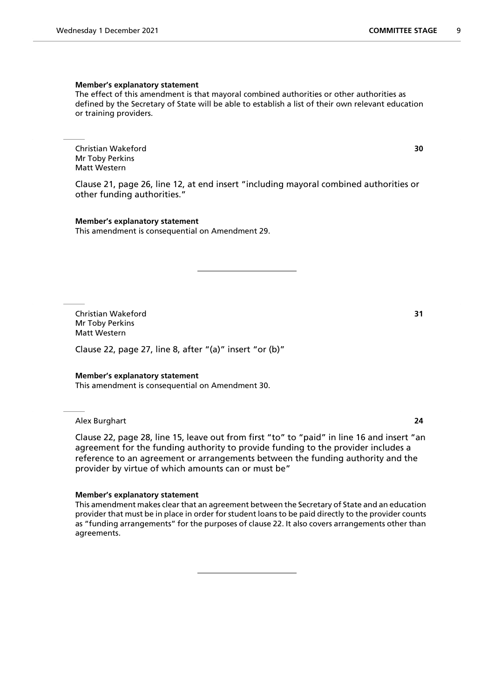#### **Member's explanatory statement**

The effect of this amendment is that mayoral combined authorities or other authorities as defined by the Secretary of State will be able to establish a list of their own relevant education or training providers.

Christian Wakeford **30** Mr Toby Perkins Matt Western

Clause 21, page 26, line 12, at end insert "including mayoral combined authorities or other funding authorities."

**Member's explanatory statement** This amendment is consequential on Amendment 29.

Christian Wakeford **31** Mr Toby Perkins Matt Western

Clause 22, page 27, line 8, after "(a)" insert "or (b)"

#### **Member's explanatory statement**

This amendment is consequential on Amendment 30.

Alex Burghart **24**

Clause 22, page 28, line 15, leave out from first "to" to "paid" in line 16 and insert "an agreement for the funding authority to provide funding to the provider includes a reference to an agreement or arrangements between the funding authority and the provider by virtue of which amounts can or must be"

#### **Member's explanatory statement**

This amendment makes clear that an agreement between the Secretary of State and an education provider that must be in place in order for student loans to be paid directly to the provider counts as "funding arrangements" for the purposes of clause 22. It also covers arrangements other than agreements.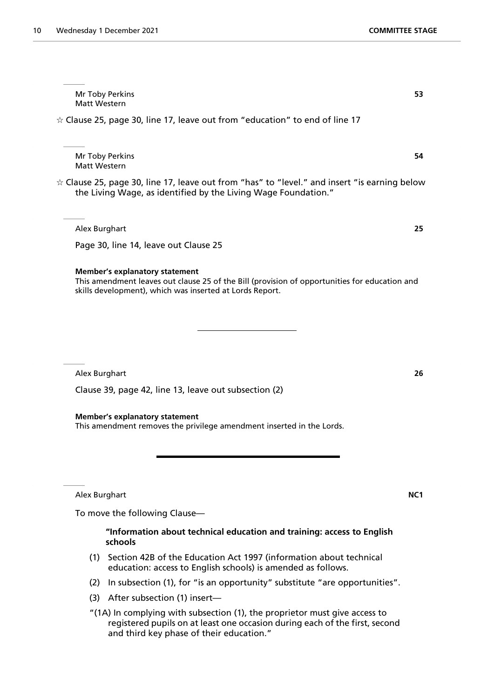| Mr Toby Perkins<br>53<br>Matt Western                                                                                                                                                              |
|----------------------------------------------------------------------------------------------------------------------------------------------------------------------------------------------------|
| $\star$ Clause 25, page 30, line 17, leave out from "education" to end of line 17                                                                                                                  |
|                                                                                                                                                                                                    |
| Mr Toby Perkins<br>54<br><b>Matt Western</b>                                                                                                                                                       |
| $\star$ Clause 25, page 30, line 17, leave out from "has" to "level." and insert "is earning below<br>the Living Wage, as identified by the Living Wage Foundation."                               |
| Alex Burghart<br>25                                                                                                                                                                                |
| Page 30, line 14, leave out Clause 25                                                                                                                                                              |
| <b>Member's explanatory statement</b><br>This amendment leaves out clause 25 of the Bill (provision of opportunities for education and<br>skills development), which was inserted at Lords Report. |
|                                                                                                                                                                                                    |
|                                                                                                                                                                                                    |
| Alex Burghart<br>26                                                                                                                                                                                |
| Clause 39, page 42, line 13, leave out subsection (2)                                                                                                                                              |
| <b>Member's explanatory statement</b><br>This amendment removes the privilege amendment inserted in the Lords.                                                                                     |

Alex Burghart **NC1**

To move the following Clause—

# **"Information about technical education and training: access to English schools**

- (1) Section 42B of the Education Act 1997 (information about technical education: access to English schools) is amended as follows.
- (2) In subsection (1), for "is an opportunity" substitute "are opportunities".
- (3) After subsection (1) insert—
- "(1A) In complying with subsection (1), the proprietor must give access to registered pupils on at least one occasion during each of the first, second and third key phase of their education."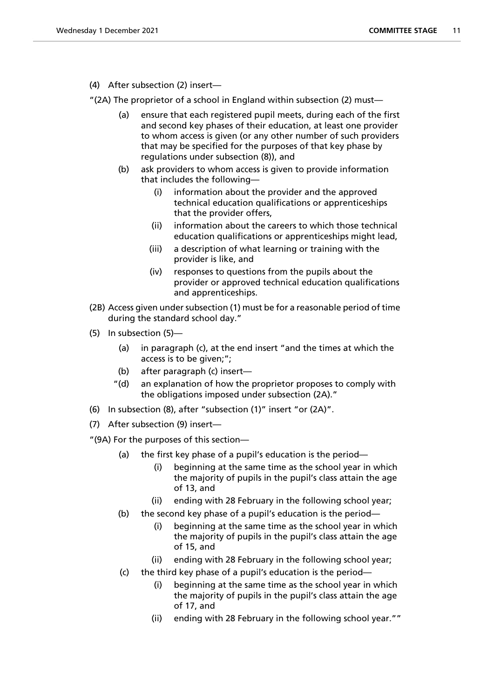(4) After subsection (2) insert—

"(2A) The proprietor of a school in England within subsection (2) must—

- (a) ensure that each registered pupil meets, during each of the first and second key phases of their education, at least one provider to whom access is given (or any other number of such providers that may be specified for the purposes of that key phase by regulations under subsection (8)), and
- (b) ask providers to whom access is given to provide information that includes the following—
	- (i) information about the provider and the approved technical education qualifications or apprenticeships that the provider offers,
	- (ii) information about the careers to which those technical education qualifications or apprenticeships might lead,
	- (iii) a description of what learning or training with the provider is like, and
	- (iv) responses to questions from the pupils about the provider or approved technical education qualifications and apprenticeships.
- (2B) Access given under subsection (1) must be for a reasonable period of time during the standard school day."
- (5) In subsection (5)—
	- (a) in paragraph (c), at the end insert "and the times at which the access is to be given;";
	- (b) after paragraph (c) insert—
	- "(d) an explanation of how the proprietor proposes to comply with the obligations imposed under subsection (2A)."
- (6) In subsection (8), after "subsection (1)" insert "or (2A)".
- (7) After subsection (9) insert—
- "(9A) For the purposes of this section—
	- (a) the first key phase of a pupil's education is the period—
		- (i) beginning at the same time as the school year in which the majority of pupils in the pupil's class attain the age of 13, and
		- (ii) ending with 28 February in the following school year;
	- (b) the second key phase of a pupil's education is the period—
		- (i) beginning at the same time as the school year in which the majority of pupils in the pupil's class attain the age of 15, and
		- (ii) ending with 28 February in the following school year;
	- (c) the third key phase of a pupil's education is the period—
		- (i) beginning at the same time as the school year in which the majority of pupils in the pupil's class attain the age of 17, and
		- (ii) ending with 28 February in the following school year.""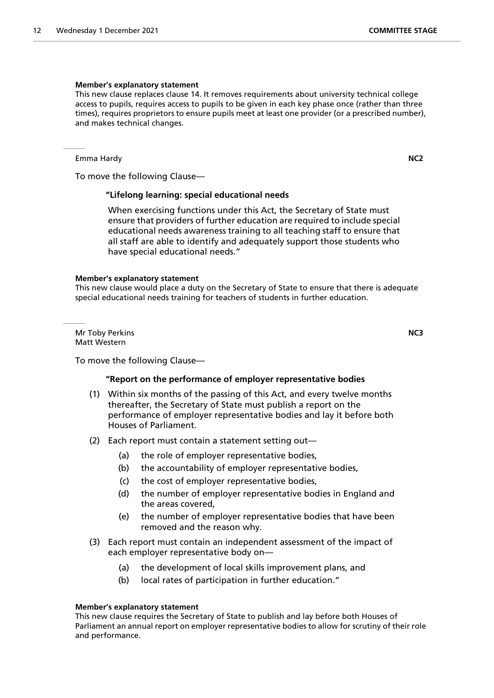#### **Member's explanatory statement**

This new clause replaces clause 14. It removes requirements about university technical college access to pupils, requires access to pupils to be given in each key phase once (rather than three times), requires proprietors to ensure pupils meet at least one provider (or a prescribed number), and makes technical changes.

Emma Hardy **NC2**

To move the following Clause—

# **"Lifelong learning: special educational needs**

 When exercising functions under this Act, the Secretary of State must ensure that providers of further education are required to include special educational needs awareness training to all teaching staff to ensure that all staff are able to identify and adequately support those students who have special educational needs."

#### **Member's explanatory statement**

This new clause would place a duty on the Secretary of State to ensure that there is adequate special educational needs training for teachers of students in further education.

Mr Toby Perkins **NC3** Matt Western

To move the following Clause—

# **"Report on the performance of employer representative bodies**

- (1) Within six months of the passing of this Act, and every twelve months thereafter, the Secretary of State must publish a report on the performance of employer representative bodies and lay it before both Houses of Parliament.
- (2) Each report must contain a statement setting out—
	- (a) the role of employer representative bodies,
	- (b) the accountability of employer representative bodies,
	- (c) the cost of employer representative bodies,
	- (d) the number of employer representative bodies in England and the areas covered,
	- (e) the number of employer representative bodies that have been removed and the reason why.
- (3) Each report must contain an independent assessment of the impact of each employer representative body on—
	- (a) the development of local skills improvement plans, and
	- (b) local rates of participation in further education."

# **Member's explanatory statement**

This new clause requires the Secretary of State to publish and lay before both Houses of Parliament an annual report on employer representative bodies to allow for scrutiny of their role and performance.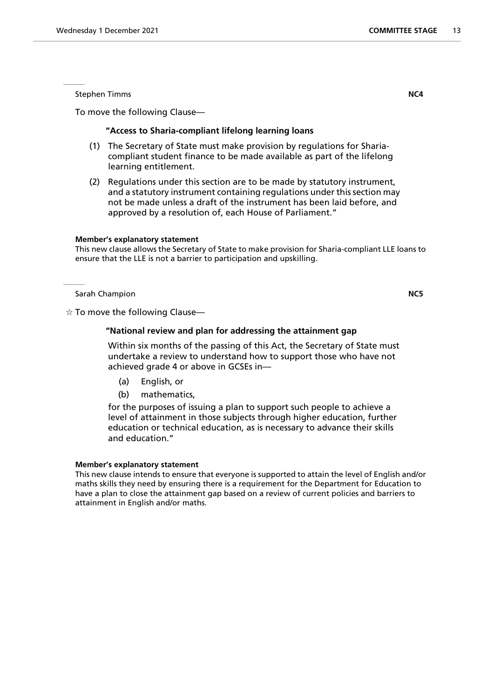Stephen Timms **NC4**

To move the following Clause—

# **"Access to Sharia-compliant lifelong learning loans**

- (1) The Secretary of State must make provision by regulations for Shariacompliant student finance to be made available as part of the lifelong learning entitlement.
- (2) Regulations under this section are to be made by statutory instrument, and a statutory instrument containing regulations under this section may not be made unless a draft of the instrument has been laid before, and approved by a resolution of, each House of Parliament."

# **Member's explanatory statement**

This new clause allows the Secretary of State to make provision for Sharia-compliant LLE loans to ensure that the LLE is not a barrier to participation and upskilling.

# Sarah Champion **NC5**

 $\dot{\varphi}$  To move the following Clause—

# **"National review and plan for addressing the attainment gap**

 Within six months of the passing of this Act, the Secretary of State must undertake a review to understand how to support those who have not achieved grade 4 or above in GCSEs in—

- (a) English, or
- (b) mathematics,

for the purposes of issuing a plan to support such people to achieve a level of attainment in those subjects through higher education, further education or technical education, as is necessary to advance their skills and education."

# **Member's explanatory statement**

This new clause intends to ensure that everyone is supported to attain the level of English and/or maths skills they need by ensuring there is a requirement for the Department for Education to have a plan to close the attainment gap based on a review of current policies and barriers to attainment in English and/or maths.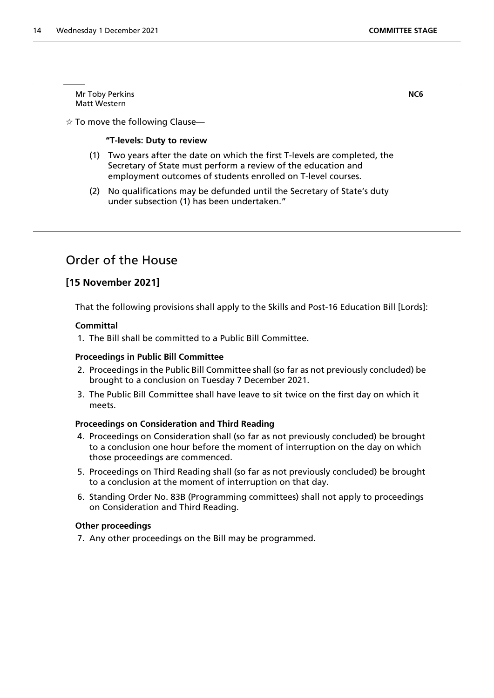Mr Toby Perkins **NC6** Matt Western

 $\dot{\mathbb{X}}$  To move the following Clause—

# **"T-levels: Duty to review**

- (1) Two years after the date on which the first T-levels are completed, the Secretary of State must perform a review of the education and employment outcomes of students enrolled on T-level courses.
- (2) No qualifications may be defunded until the Secretary of State's duty under subsection (1) has been undertaken."

# Order of the House

# **[15 November 2021]**

That the following provisions shall apply to the Skills and Post-16 Education Bill [Lords]:

# **Committal**

1. The Bill shall be committed to a Public Bill Committee.

# **Proceedings in Public Bill Committee**

- 2. Proceedings in the Public Bill Committee shall (so far as not previously concluded) be brought to a conclusion on Tuesday 7 December 2021.
- 3. The Public Bill Committee shall have leave to sit twice on the first day on which it meets.

# **Proceedings on Consideration and Third Reading**

- 4. Proceedings on Consideration shall (so far as not previously concluded) be brought to a conclusion one hour before the moment of interruption on the day on which those proceedings are commenced.
- 5. Proceedings on Third Reading shall (so far as not previously concluded) be brought to a conclusion at the moment of interruption on that day.
- 6. Standing Order No. 83B (Programming committees) shall not apply to proceedings on Consideration and Third Reading.

# **Other proceedings**

7. Any other proceedings on the Bill may be programmed.